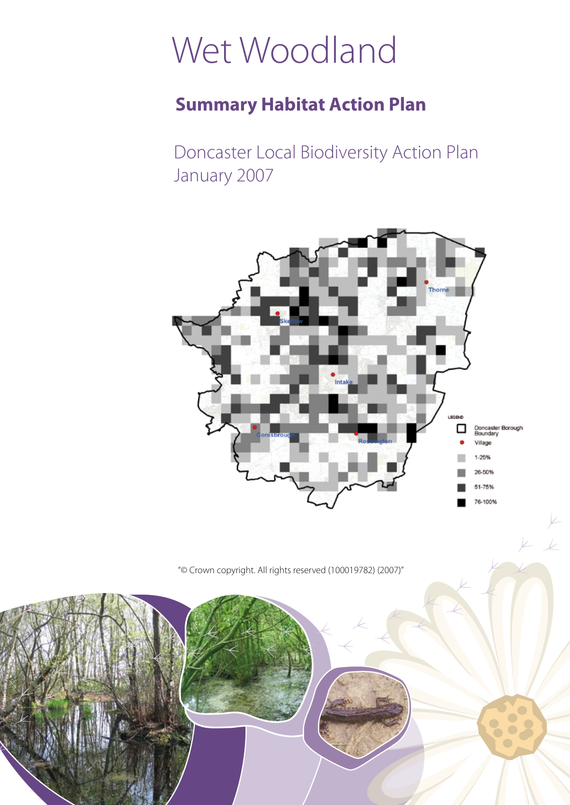# Wet Woodland

## **Summary Habitat Action Plan**

Doncaster Local Biodiversity Action Plan January 2007



 $\overline{K}$ 

"© Crown copyright. All rights reserved (100019782) (2007)"

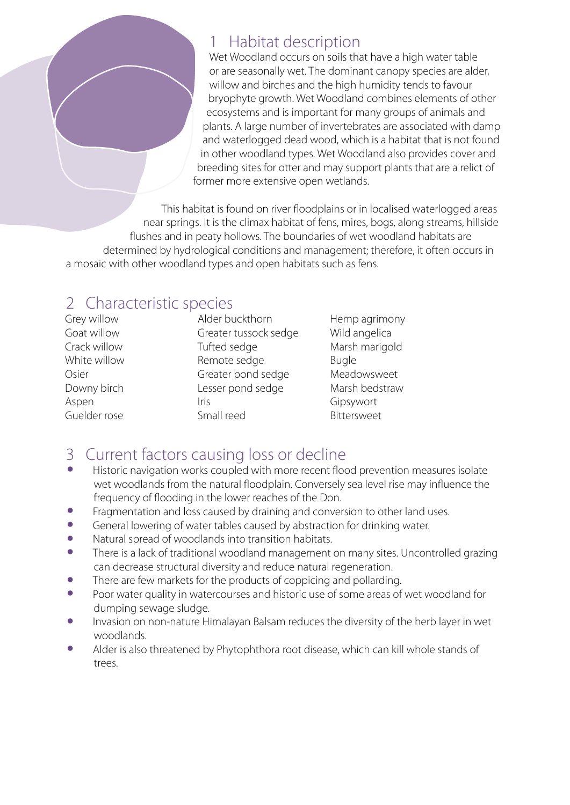#### 1 Habitat description

Wet Woodland occurs on soils that have a high water table or are seasonally wet. The dominant canopy species are alder, willow and birches and the high humidity tends to favour bryophyte growth. Wet Woodland combines elements of other ecosystems and is important for many groups of animals and plants. A large number of invertebrates are associated with damp and waterlogged dead wood, which is a habitat that is not found in other woodland types. Wet Woodland also provides cover and breeding sites for otter and may support plants that are a relict of former more extensive open wetlands.

This habitat is found on river floodplains or in localised waterlogged areas near springs. It is the climax habitat of fens, mires, bogs, along streams, hillside flushes and in peaty hollows. The boundaries of wet woodland habitats are determined by hydrological conditions and management; therefore, it often occurs in a mosaic with other woodland types and open habitats such as fens.

### 2 Characteristic species

Grey willow Goat willow Crack willow White willow Osier Downy birch Aspen Guelder rose

Alder buckthorn Greater tussock sedge Tufted sedge Remote sedge Greater pond sedge Lesser pond sedge Iris Small reed

Hemp agrimony Wild angelica Marsh marigold Bugle Meadowsweet Marsh bedstraw Gipsywort Bittersweet

# 3 Current factors causing loss or decline

- Historic navigation works coupled with more recent flood prevention measures isolate wet woodlands from the natural floodplain. Conversely sea level rise may influence the frequency of flooding in the lower reaches of the Don.
- Fragmentation and loss caused by draining and conversion to other land uses.<br>• General lowering of water tables caused by abstraction for drinking water
- General lowering of water tables caused by abstraction for drinking water.<br>• Natural spread of woodlands into transition babitats
- Natural spread of woodlands into transition habitats.<br>• There is a lack of traditional woodland management of
- There is a lack of traditional woodland management on many sites. Uncontrolled grazing can decrease structural diversity and reduce natural regeneration.
- There are few markets for the products of coppicing and pollarding.<br>• Poor water quality in watercourses and bistoric use of some areas of
- Poor water quality in watercourses and historic use of some areas of wet woodland for dumping sewage sludge.
- Invasion on non-nature Himalayan Balsam reduces the diversity of the herb layer in wet woodlands.
- Alder is also threatened by Phytophthora root disease, which can kill whole stands of trees.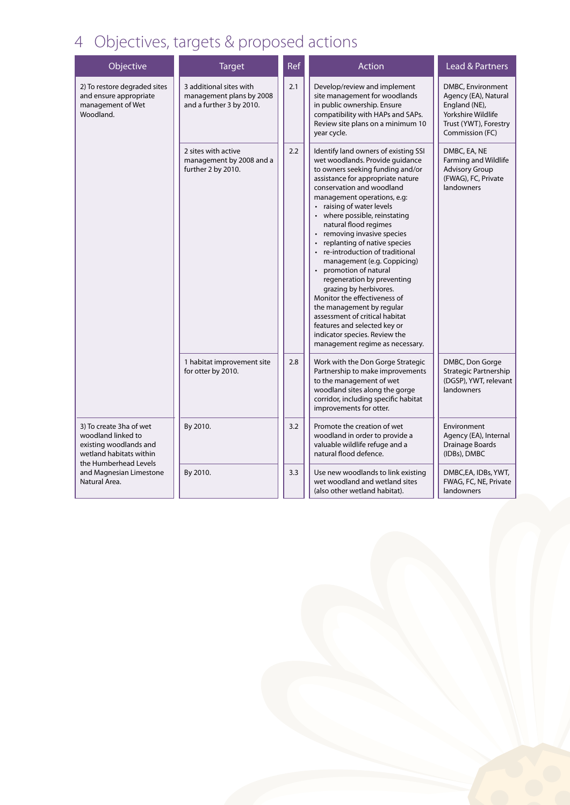# 4 Objectives, targets & proposed actions

| Objective                                                                                                                                                               | <b>Target</b>                                                                   | Ref | Action                                                                                                                                                                                                                                                                                                                                                                                                                                                                                                                                                                                                                                                                                                                            | <b>Lead &amp; Partners</b>                                                                                                   |
|-------------------------------------------------------------------------------------------------------------------------------------------------------------------------|---------------------------------------------------------------------------------|-----|-----------------------------------------------------------------------------------------------------------------------------------------------------------------------------------------------------------------------------------------------------------------------------------------------------------------------------------------------------------------------------------------------------------------------------------------------------------------------------------------------------------------------------------------------------------------------------------------------------------------------------------------------------------------------------------------------------------------------------------|------------------------------------------------------------------------------------------------------------------------------|
| 2) To restore degraded sites<br>and ensure appropriate<br>management of Wet<br>Woodland.                                                                                | 3 additional sites with<br>management plans by 2008<br>and a further 3 by 2010. | 2.1 | Develop/review and implement<br>site management for woodlands<br>in public ownership. Ensure<br>compatibility with HAPs and SAPs.<br>Review site plans on a minimum 10<br>year cycle.                                                                                                                                                                                                                                                                                                                                                                                                                                                                                                                                             | DMBC, Environment<br>Agency (EA), Natural<br>England (NE),<br>Yorkshire Wildlife<br>Trust (YWT), Forestry<br>Commission (FC) |
|                                                                                                                                                                         | 2 sites with active<br>management by 2008 and a<br>further 2 by 2010.           | 2.2 | Identify land owners of existing SSI<br>wet woodlands. Provide guidance<br>to owners seeking funding and/or<br>assistance for appropriate nature<br>conservation and woodland<br>management operations, e.g:<br>raising of water levels<br>• where possible, reinstating<br>natural flood regimes<br>• removing invasive species<br>replanting of native species<br>re-introduction of traditional<br>management (e.g. Coppicing)<br>promotion of natural<br>$\bullet$<br>regeneration by preventing<br>grazing by herbivores.<br>Monitor the effectiveness of<br>the management by regular<br>assessment of critical habitat<br>features and selected key or<br>indicator species. Review the<br>management regime as necessary. | DMBC, EA, NE<br>Farming and Wildlife<br><b>Advisory Group</b><br>(FWAG), FC, Private<br>landowners                           |
|                                                                                                                                                                         | 1 habitat improvement site<br>for otter by 2010.                                | 2.8 | Work with the Don Gorge Strategic<br>Partnership to make improvements<br>to the management of wet<br>woodland sites along the gorge<br>corridor, including specific habitat<br>improvements for otter.                                                                                                                                                                                                                                                                                                                                                                                                                                                                                                                            | DMBC, Don Gorge<br>Strategic Partnership<br>(DGSP), YWT, relevant<br>landowners                                              |
| 3) To create 3ha of wet<br>woodland linked to<br>existing woodlands and<br>wetland habitats within<br>the Humberhead Levels<br>and Magnesian Limestone<br>Natural Area. | By 2010.                                                                        | 3.2 | Promote the creation of wet<br>woodland in order to provide a<br>valuable wildlife refuge and a<br>natural flood defence.                                                                                                                                                                                                                                                                                                                                                                                                                                                                                                                                                                                                         | Environment<br>Agency (EA), Internal<br>Drainage Boards<br>(IDBs), DMBC                                                      |
|                                                                                                                                                                         | By 2010.                                                                        | 3.3 | Use new woodlands to link existing<br>wet woodland and wetland sites<br>(also other wetland habitat).                                                                                                                                                                                                                                                                                                                                                                                                                                                                                                                                                                                                                             | DMBC, EA, IDBs, YWT,<br>FWAG, FC, NE, Private<br>landowners                                                                  |